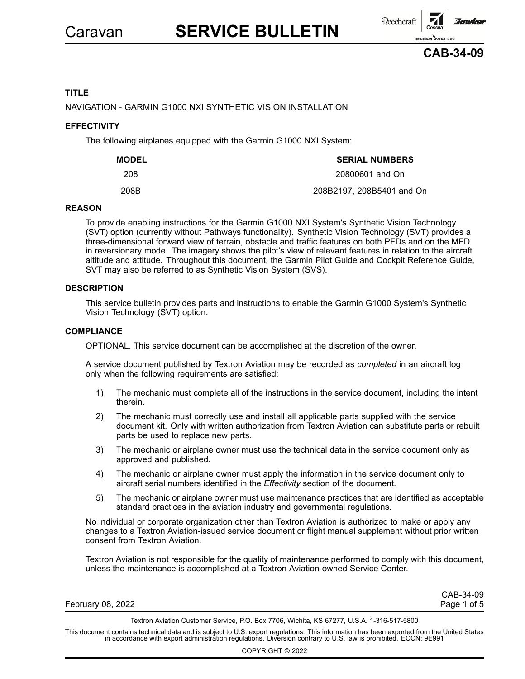

# **TITLE**

NAVIGATION - GARMIN G1000 NXI SYNTHETIC VISION INSTALLATION

# **EFFECTIVITY**

The following airplanes equipped with the Garmin G1000 NXI System:

| <b>MODEL</b> | <b>SERIAL NUMBERS</b>     |
|--------------|---------------------------|
| 208          | 20800601 and On           |
| 208B         | 208B2197, 208B5401 and On |

#### **REASON**

To provide enabling instructions for the Garmin G1000 NXI System's Synthetic Vision Technology (SVT) option (currently without Pathways functionality). Synthetic Vision Technology (SVT) provides <sup>a</sup> three-dimensional forward view of terrain, obstacle and traffic features on both PFDs and on the MFD in reversionary mode. The imagery shows the pilot's view of relevant features in relation to the aircraft altitude and attitude. Throughout this document, the Garmin Pilot Guide and Cockpit Reference Guide, SVT may also be referred to as Synthetic Vision System (SVS).

# **DESCRIPTION**

This service bulletin provides parts and instructions to enable the Garmin G1000 System's Synthetic Vision Technology (SVT) option.

#### **COMPLIANCE**

OPTIONAL. This service document can be accomplished at the discretion of the owner.

A service document published by Textron Aviation may be recorded as *completed* in an aircraft log only when the following requirements are satisfied:

- 1) The mechanic must complete all of the instructions in the service document, including the intent therein.
- 2) The mechanic must correctly use and install all applicable parts supplied with the service document kit. Only with written authorization from Textron Aviation can substitute parts or rebuilt parts be used to replace new parts.
- 3) The mechanic or airplane owner must use the technical data in the service document only as approved and published.
- 4) The mechanic or airplane owner must apply the information in the service document only to aircraft serial numbers identified in the *Effectivity* section of the document.
- 5) The mechanic or airplane owner must use maintenance practices that are identified as acceptable standard practices in the aviation industry and governmental regulations.

No individual or corporate organization other than Textron Aviation is authorized to make or apply any changes to <sup>a</sup> Textron Aviation-issued service document or flight manual supplement without prior written consent from Textron Aviation.

Textron Aviation is not responsible for the quality of maintenance performed to comply with this document, unless the maintenance is accomplished at <sup>a</sup> Textron Aviation-owned Service Center.

|                   | CAB-34-09   |
|-------------------|-------------|
| February 08, 2022 | Page 1 of 5 |
|                   |             |

Textron Aviation Customer Service, P.O. Box 7706, Wichita, KS 67277, U.S.A. 1-316-517-5800

This document contains technical data and is subject to U.S. export regulations. This information has been exported from the United States in accordance with export administration regulations. Diversion contrary to U.S. law is prohibited. ECCN: 9E991

COPYRIGHT © 2022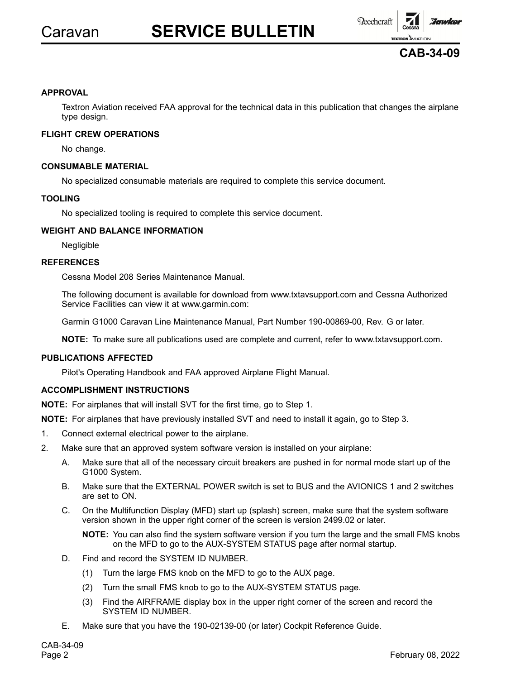

**CAB-34-09**

# **APPROVAL**

Textron Aviation received FAA approval for the technical data in this publication that changes the airplane type design.

#### **FLIGHT CREW OPERATIONS**

No change.

#### **CONSUMABLE MATERIAL**

No specialized consumable materials are required to complete this service document.

#### **TOOLING**

No specialized tooling is required to complete this service document.

# **WEIGHT AND BALANCE INFORMATION**

Negligible

#### **REFERENCES**

Cessna Model 208 Series Maintenance Manual.

The following document is available for download from www.txtavsupport.com and Cessna Authorized Service Facilities can view it at www.garmin.com:

Garmin G1000 Caravan Line Maintenance Manual, Part Number 190-00869-00, Rev. G or later.

**NOTE:** To make sure all publications used are complete and current, refer to www.txtavsupport.com.

# **PUBLICATIONS AFFECTED**

Pilot's Operating Handbook and FAA approved Airplane Flight Manual.

# **ACCOMPLISHMENT INSTRUCTIONS**

**NOTE:** For airplanes that will install SVT for the first time, go to Step 1.

**NOTE:** For airplanes that have previously installed SVT and need to install it again, go to Step 3.

- 1. Connect external electrical power to the airplane.
- 2. Make sure that an approved system software version is installed on your airplane:
	- A. Make sure that all of the necessary circuit breakers are pushed in for normal mode start up of the G1000 System.
	- B. Make sure that the EXTERNAL POWER switch is set to BUS and the AVIONICS 1 and 2 switches are set to ON.
	- C. On the Multifunction Display (MFD) start up (splash) screen, make sure that the system software version shown in the upper right corner of the screen is version 2499.02 or later.

**NOTE:** You can also find the system software version if you turn the large and the small FMS knobs on the MFD to go to the AUX-SYSTEM STATUS page after normal startup.

- D. Find and record the SYSTEM ID NUMBER.
	- (1) Turn the large FMS knob on the MFD to go to the AUX page.
	- (2) Turn the small FMS knob to go to the AUX-SYSTEM STATUS page.
	- (3) Find the AIRFRAME display box in the upper right corner of the screen and record the SYSTEM ID NUMBER.
- E. Make sure that you have the 190-02139-00 (or later) Cockpit Reference Guide.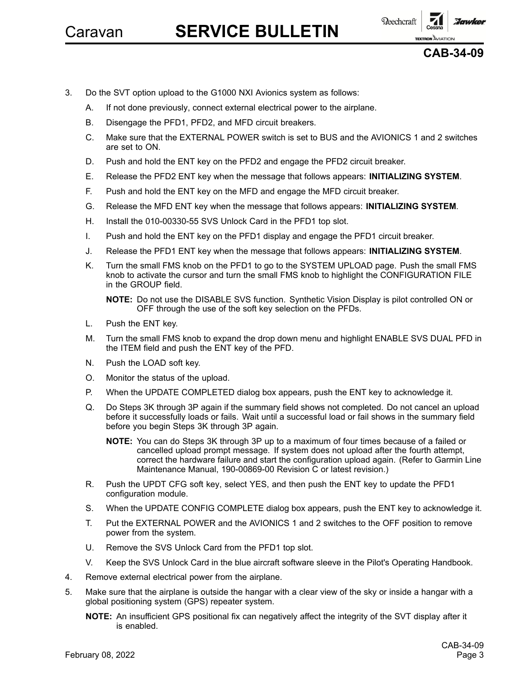

**CAB-34-09**

- 3. Do the SVT option upload to the G1000 NXI Avionics system as follows:
	- A. If not done previously, connect external electrical power to the airplane.
	- B. Disengage the PFD1, PFD2, and MFD circuit breakers.
	- C. Make sure that the EXTERNAL POWER switch is set to BUS and the AVIONICS 1 and 2 switches are set to ON.
	- D. Push and hold the ENT key on the PFD2 and engage the PFD2 circuit breaker.
	- E. Release the PFD2 ENT key when the message that follows appears: **INITIALIZING SYSTEM**.
	- F. Push and hold the ENT key on the MFD and engage the MFD circuit breaker.
	- G. Release the MFD ENT key when the message that follows appears: **INITIALIZING SYSTEM**.
	- H. Install the 010-00330-55 SVS Unlock Card in the PFD1 top slot.
	- I. Push and hold the ENT key on the PFD1 display and engage the PFD1 circuit breaker.
	- J. Release the PFD1 ENT key when the message that follows appears: **INITIALIZING SYSTEM**.
	- K. Turn the small FMS knob on the PFD1 to go to the SYSTEM UPLOAD page. Push the small FMS knob to activate the cursor and turn the small FMS knob to highlight the CONFIGURATION FILE in the GROUP field.

**NOTE:** Do not use the DISABLE SVS function. Synthetic Vision Display is pilot controlled ON or OFF through the use of the soft key selection on the PFDs.

- L. Push the ENT key.
- M. Turn the small FMS knob to expand the drop down menu and highlight ENABLE SVS DUAL PFD in the ITEM field and push the ENT key of the PFD.
- N. Push the LOAD soft key.
- O. Monitor the status of the upload.
- P. When the UPDATE COMPLETED dialog box appears, push the ENT key to acknowledge it.
- Q. Do Steps 3K through 3P again if the summary field shows not completed. Do not cancel an upload before it successfully loads or fails. Wait until <sup>a</sup> successful load or fail shows in the summary field before you begin Steps 3K through 3P again.
	- **NOTE:** You can do Steps 3K through 3P up to <sup>a</sup> maximum of four times because of <sup>a</sup> failed or cancelled upload prompt message. If system does not upload after the fourth attempt, correct the hardware failure and start the configuration upload again. (Refer to Garmin Line Maintenance Manual, 190-00869-00 Revision C or latest revision.)
- R. Push the UPDT CFG soft key, select YES, and then push the ENT key to update the PFD1 configuration module.
- S. When the UPDATE CONFIG COMPLETE dialog box appears, push the ENT key to acknowledge it.
- T. Put the EXTERNAL POWER and the AVIONICS 1 and 2 switches to the OFF position to remove power from the system.
- U. Remove the SVS Unlock Card from the PFD1 top slot.
- V. Keep the SVS Unlock Card in the blue aircraft software sleeve in the Pilot's Operating Handbook.
- 4. Remove external electrical power from the airplane.
- 5. Make sure that the airplane is outside the hangar with <sup>a</sup> clear view of the sky or inside <sup>a</sup> hangar with <sup>a</sup> global positioning system (GPS) repeater system.

**NOTE:** An insufficient GPS positional fix can negatively affect the integrity of the SVT display after it is enabled.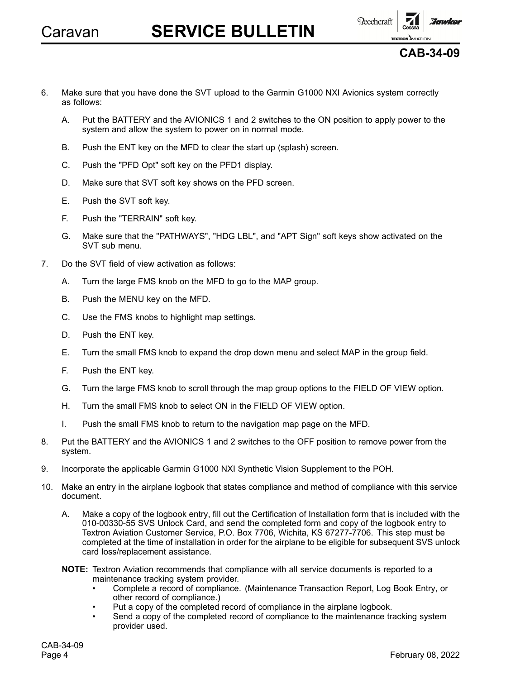



- 6. Make sure that you have done the SVT upload to the Garmin G1000 NXI Avionics system correctly as follows:
	- A. Put the BATTERY and the AVIONICS 1 and 2 switches to the ON position to apply power to the system and allow the system to power on in normal mode.
	- B. Push the ENT key on the MFD to clear the start up (splash) screen.
	- C. Push the "PFD Opt" soft key on the PFD1 display.
	- D. Make sure that SVT soft key shows on the PFD screen.
	- E. Push the SVT soft key.
	- F. Push the "TERRAIN" soft key.
	- G. Make sure that the "PATHWAYS", "HDG LBL", and "APT Sign" soft keys show activated on the SVT sub menu.
- 7. Do the SVT field of view activation as follows:
	- A. Turn the large FMS knob on the MFD to go to the MAP group.
	- B. Push the MENU key on the MFD.
	- C. Use the FMS knobs to highlight map settings.
	- D. Push the ENT key.
	- E. Turn the small FMS knob to expand the drop down menu and select MAP in the group field.
	- F. Push the ENT key.
	- G. Turn the large FMS knob to scroll through the map group options to the FIELD OF VIEW option.
	- H. Turn the small FMS knob to select ON in the FIELD OF VIEW option.
	- I. Push the small FMS knob to return to the navigation map page on the MFD.
- 8. Put the BATTERY and the AVIONICS 1 and 2 switches to the OFF position to remove power from the system.
- 9. Incorporate the applicable Garmin G1000 NXI Synthetic Vision Supplement to the POH.
- 10. Make an entry in the airplane logbook that states compliance and method of compliance with this service document.
	- A. Make <sup>a</sup> copy of the logbook entry, fill out the Certification of Installation form that is included with the 010-00330-55 SVS Unlock Card, and send the completed form and copy of the logbook entry to Textron Aviation Customer Service, P.O. Box 7706, Wichita, KS 67277-7706. This step must be completed at the time of installation in order for the airplane to be eligible for subsequent SVS unlock card loss/replacement assistance.
	- **NOTE:** Textron Aviation recommends that compliance with all service documents is reported to <sup>a</sup> maintenance tracking system provider.
		- • Complete <sup>a</sup> record of compliance. (Maintenance Transaction Report, Log Book Entry, or other record of compliance.)
		- •Put <sup>a</sup> copy of the completed record of compliance in the airplane logbook.
		- • Send <sup>a</sup> copy of the completed record of compliance to the maintenance tracking system provider used.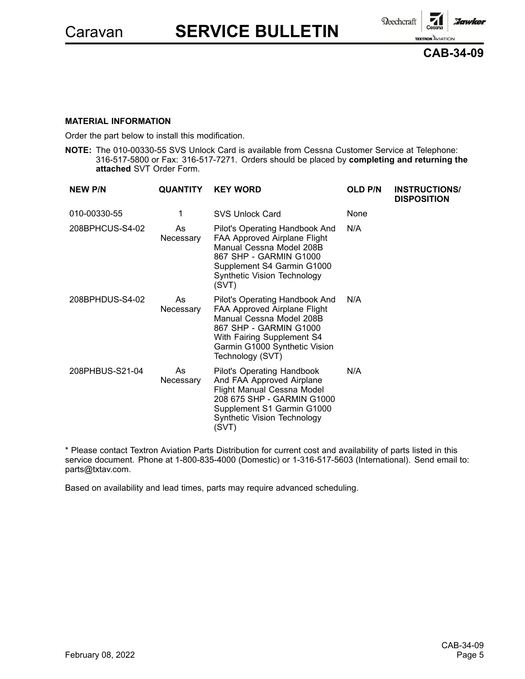Reechcraft :Jawker **TEXTRON** AVIATION



#### **MATERIAL INFORMATION**

Order the part below to install this modification.

**NOTE:** The 010-00330-55 SVS Unlock Card is available from Cessna Customer Service at Telephone: 316-517-5800 or Fax: 316-517-7271. Orders should be placed by **completing and returning the attached** SVT Order Form.

| <b>NEW P/N</b>  | <b>QUANTITY</b> | <b>KEY WORD</b>                                                                                                                                                                                         | <b>OLD P/N</b> | <b>INSTRUCTIONS/</b><br><b>DISPOSITION</b> |
|-----------------|-----------------|---------------------------------------------------------------------------------------------------------------------------------------------------------------------------------------------------------|----------------|--------------------------------------------|
| 010-00330-55    | 1               | <b>SVS Unlock Card</b>                                                                                                                                                                                  | None           |                                            |
| 208BPHCUS-S4-02 | As<br>Necessary | Pilot's Operating Handbook And<br>FAA Approved Airplane Flight<br>Manual Cessna Model 208B<br>867 SHP - GARMIN G1000<br>Supplement S4 Garmin G1000<br>Synthetic Vision Technology<br>(SVT)              | N/A            |                                            |
| 208BPHDUS-S4-02 | As<br>Necessary | Pilot's Operating Handbook And<br>FAA Approved Airplane Flight<br>Manual Cessna Model 208B<br>867 SHP - GARMIN G1000<br>With Fairing Supplement S4<br>Garmin G1000 Synthetic Vision<br>Technology (SVT) | N/A            |                                            |
| 208PHBUS-S21-04 | As<br>Necessary | Pilot's Operating Handbook<br>And FAA Approved Airplane<br>Flight Manual Cessna Model<br>208 675 SHP - GARMIN G1000<br>Supplement S1 Garmin G1000<br>Synthetic Vision Technology<br>(SVT)               | N/A            |                                            |

\* Please contact Textron Aviation Parts Distribution for current cost and availability of parts listed in this service document. Phone at 1-800-835-4000 (Domestic) or 1-316-517-5603 (International). Send email to: parts@txtav.com.

Based on availability and lead times, parts may require advanced scheduling.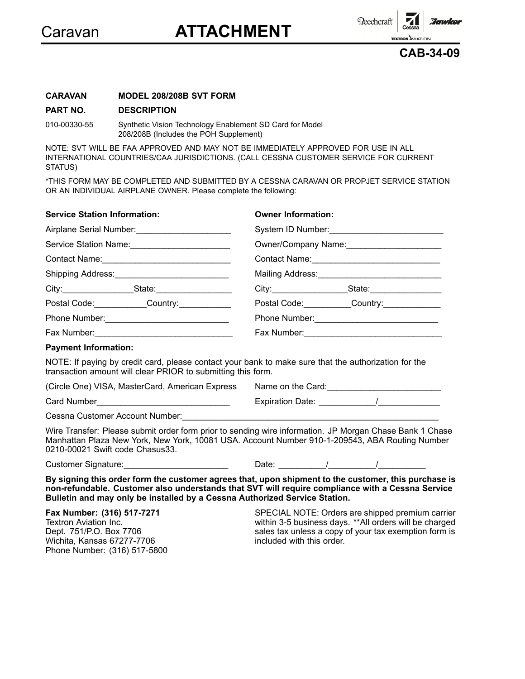

Beechcraft

**TEXTRON** AVIATION **CAB-34-09**

:Jawker

# **CARAVAN MODEL 208/208B SVT FORM**

#### **PART NO. DESCRIPTION**

010-00330-55 Synthetic Vision Technology Enablement SD Card for Model 208/208B (Includes the POH Supplement)

NOTE: SVT WILL BE FAA APPROVED AND MAY NOT BE IMMEDIATELY APPROVED FOR USE IN ALL INTERNATIONAL COUNTRIES/CAA JURISDICTIONS. (CALL CESSNA CUSTOMER SERVICE FOR CURRENT STATUS)

\*THIS FORM MAY BE COMPLETED AND SUBMITTED BY A CESSNA CARAVAN OR PROPJET SERVICE STATION OR AN INDIVIDUAL AIRPLANE OWNER. Please complete the following:

| <b>Service Station Information:</b>                                                                                                                                                                                                          | <b>Owner Information:</b>      |
|----------------------------------------------------------------------------------------------------------------------------------------------------------------------------------------------------------------------------------------------|--------------------------------|
|                                                                                                                                                                                                                                              | System ID Number:              |
| Service Station Name:                                                                                                                                                                                                                        | Owner/Company Name:            |
|                                                                                                                                                                                                                                              |                                |
|                                                                                                                                                                                                                                              |                                |
|                                                                                                                                                                                                                                              |                                |
| Postal Code: Country: Country:                                                                                                                                                                                                               | Postal Code: Country: Country: |
|                                                                                                                                                                                                                                              | Phone Number: 2008             |
|                                                                                                                                                                                                                                              |                                |
| <b>Payment Information:</b>                                                                                                                                                                                                                  |                                |
| NOTE: If paying by credit card, please contact your bank to make sure that the authorization for the<br>transaction amount will clear PRIOR to submitting this form.                                                                         |                                |
| (Circle One) VISA, MasterCard, American Express                                                                                                                                                                                              |                                |
|                                                                                                                                                                                                                                              |                                |
|                                                                                                                                                                                                                                              |                                |
| Wire Transfer: Please submit order form prior to sending wire information. JP Morgan Chase Bank 1 Chase<br>Manhattan Plaza New York, New York, 10081 USA. Account Number 910-1-209543, ABA Routing Number<br>0210-00021 Swift code Chasus33. |                                |
| Customer Signature: Customer Signature:                                                                                                                                                                                                      |                                |

**By signing this order form the customer agrees that, upon shipment to the customer, this purchase is non-refundable. Customer also understands that SVT will require compliance with <sup>a</sup> Cessna Service Bulletin and may only be installed by <sup>a</sup> Cessna Authorized Service Station.**

**Fax Number: (316) 517-7271** Textron Aviation Inc. Dept. 751/P.O. Box 7706 Wichita, Kansas 67277-7706 Phone Number: (316) 517-5800

SPECIAL NOTE: Orders are shipped premium carrier within 3-5 business days. \*\*All orders will be charged sales tax unless <sup>a</sup> copy of your tax exemption form is included with this order.